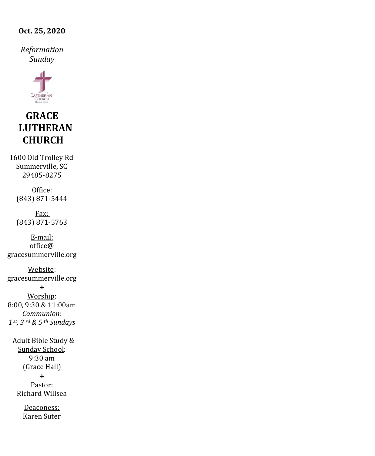### **Oct. 25, 2020**

*Reformation Sunday*



# **GRACE LUTHERAN CHURCH**

1600 Old Trolley Rd Summerville, SC 29485-8275

> Office: (843) 871-5444

> Fax: (843) 871-5763

E-mail:  $office@$ gracesummerville.org

Website: gracesummerville.org

**+** Worship: 8:00, 9:30 & 11:00am *Communion: 1 st, 3 rd & 5 th Sundays*

 Adult Bible Study & Sunday School: 9:30 am (Grace Hall) **+** Pastor: Richard Willsea

> Deaconess: Karen Suter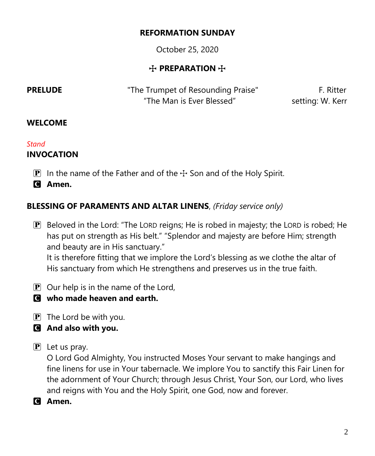## **REFORMATION SUNDAY**

October 25, 2020

# **T** PREPARATION **T**

**PRELUDE** The Trumpet of Resounding Praise" F. Ritter "The Man is Ever Blessed" setting: W. Kerr

# **WELCOME**

## *Stand*

# **INVOCATION**

 $\overline{P}$  In the name of the Father and of the  $\pm$  Son and of the Holy Spirit.

C **Amen.**

# **BLESSING OF PARAMENTS AND ALTAR LINENS**, *(Friday service only)*

P Beloved in the Lord: "The LORD reigns; He is robed in majesty; the LORD is robed; He has put on strength as His belt." "Splendor and majesty are before Him; strength and beauty are in His sanctuary."

It is therefore fitting that we implore the Lord's blessing as we clothe the altar of His sanctuary from which He strengthens and preserves us in the true faith.

- $\boxed{\mathbf{P}}$  Our help is in the name of the Lord,
- C **who made heaven and earth.**
- $\mathbf{P}$  The Lord be with you.
- C **And also with you.**
- $\mathbf{P}$  Let us pray.

O Lord God Almighty, You instructed Moses Your servant to make hangings and fine linens for use in Your tabernacle. We implore You to sanctify this Fair Linen for the adornment of Your Church; through Jesus Christ, Your Son, our Lord, who lives and reigns with You and the Holy Spirit, one God, now and forever.

C **Amen.**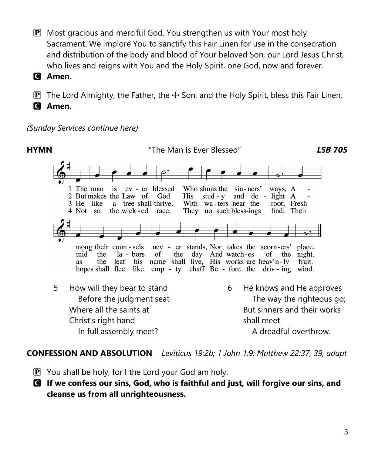- $\mathbf{P}$  Most gracious and merciful God, You strengthen us with Your most holy Sacrament. We implore You to sanctify this Fair Linen for use in the consecration and distribution of the body and blood of Your beloved Son, our Lord Jesus Christ, who lives and reigns with You and the Holy Spirit, one God, now and forever.
- C **Amen.**

**P** The Lord Almighty, the Father, the  $\pm$  Son, and the Holy Spirit, bless this Fair Linen. C **Amen.**

*(Sunday Services continue here)*



## **CONFESSION AND ABSOLUTION** *Leviticus 19:2b; 1 John 1:9; Matthew 22:37, 39, adapt*

- $\mathbf{P}$  You shall be holy, for I the Lord your God am holy.
- C **If we confess our sins, God, who is faithful and just, will forgive our sins, and cleanse us from all unrighteousness.**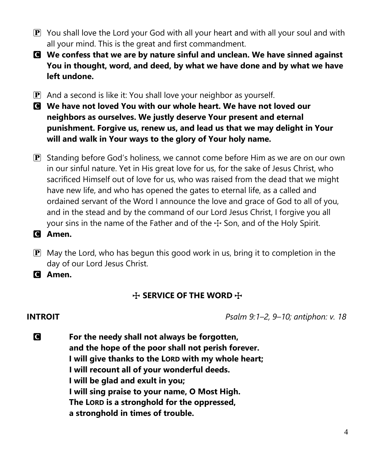- $\mathbf{P}$  You shall love the Lord your God with all your heart and with all your soul and with all your mind. This is the great and first commandment.
- C **We confess that we are by nature sinful and unclean. We have sinned against You in thought, word, and deed, by what we have done and by what we have left undone.**
- $\mathbf{P}$  And a second is like it: You shall love your neighbor as yourself.
- C **We have not loved You with our whole heart. We have not loved our neighbors as ourselves. We justly deserve Your present and eternal punishment. Forgive us, renew us, and lead us that we may delight in Your will and walk in Your ways to the glory of Your holy name.**
- P Standing before God's holiness, we cannot come before Him as we are on our own in our sinful nature. Yet in His great love for us, for the sake of Jesus Christ, who sacrificed Himself out of love for us, who was raised from the dead that we might have new life, and who has opened the gates to eternal life, as a called and ordained servant of the Word I announce the love and grace of God to all of you, and in the stead and by the command of our Lord Jesus Christ, I forgive you all your sins in the name of the Father and of the  $\pm$  Son, and of the Holy Spirit.
- C **Amen.**
- $\mathbf{P}$  May the Lord, who has begun this good work in us, bring it to completion in the day of our Lord Jesus Christ.
- C **Amen.**

# **THE WORD THE SERVICE OF THE WORD**

**INTROIT** *Psalm 9:1–2, 9–10; antiphon: v. 18*

C **For the needy shall not always be forgotten, and the hope of the poor shall not perish forever. I will give thanks to the LORD with my whole heart; I will recount all of your wonderful deeds. I will be glad and exult in you; I will sing praise to your name, O Most High. The LORD is a stronghold for the oppressed, a stronghold in times of trouble.**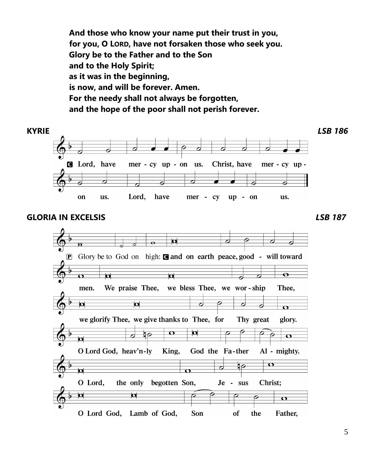**And those who know your name put their trust in you, for you, O LORD, have not forsaken those who seek you. Glory be to the Father and to the Son and to the Holy Spirit; as it was in the beginning, is now, and will be forever. Amen. For the needy shall not always be forgotten, and the hope of the poor shall not perish forever.**



## **GLORIA IN EXCELSIS** *LSB 187*

 $\overline{\mathbf{o}}$ **P** Glory be to God on high: **@** and on earth peace, good - will toward  $\overline{\mathbf{o}}$  $\overline{\mathbf{p}}$  $\overline{\mathbf{o}}$ we bless Thee, we wor-ship We praise Thee, Thee. men.  $\overline{\mathbf{p}}$  $\mathbf{\Omega}$ d ∂  $\Omega$ we glorify Thee, we give thanks to Thee, for Thy great glory.  $\bullet$  $\overline{\phantom{0}}$  $\overline{\mathbf{C}}$ b O Lord God, heav'n-ly King, God the Fa-ther Al - mighty.  $\overline{\mathbf{O}}$ াই  $\overline{\phantom{a}}$  $\overline{\mathbf{a}}$ the only begotten Son, O Lord, Christ; Je - sus  $\blacksquare$  $\overline{\mathbf{a}}$  $\sigma$ O Lord God, Lamb of God, Son of the Father,

5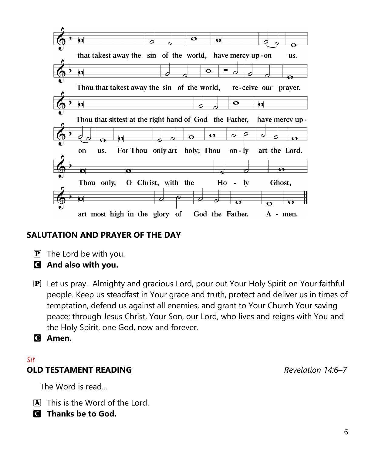

# **SALUTATION AND PRAYER OF THE DAY**

- $\mathbf{P}$  The Lord be with you.
- C **And also with you.**
- P Let us pray. Almighty and gracious Lord, pour out Your Holy Spirit on Your faithful people. Keep us steadfast in Your grace and truth, protect and deliver us in times of temptation, defend us against all enemies, and grant to Your Church Your saving peace; through Jesus Christ, Your Son, our Lord, who lives and reigns with You and the Holy Spirit, one God, now and forever.
- C **Amen.**

## *Sit* **OLD TESTAMENT READING** *Revelation 14:6–7*

The Word is read…

- A This is the Word of the Lord.
- C **Thanks be to God.**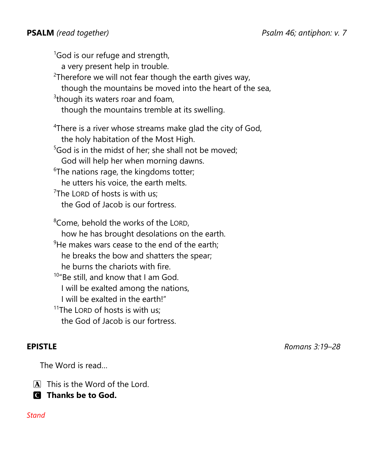$1$ God is our refuge and strength, a very present help in trouble.  $2$ Therefore we will not fear though the earth gives way, though the mountains be moved into the heart of the sea,  $3$ though its waters roar and foam, though the mountains tremble at its swelling. <sup>4</sup>There is a river whose streams make glad the city of God, the holy habitation of the Most High.  $5$ God is in the midst of her; she shall not be moved; God will help her when morning dawns.  $6$ The nations rage, the kingdoms totter; he utters his voice, the earth melts. <sup>7</sup>The LORD of hosts is with us; the God of Jacob is our fortress. <sup>8</sup>Come, behold the works of the LORD, how he has brought desolations on the earth.  $9$ He makes wars cease to the end of the earth; he breaks the bow and shatters the spear; he burns the chariots with fire. 10"Be still, and know that I am God. I will be exalted among the nations, I will be exalted in the earth!"

 $11$ The LORD of hosts is with us: the God of Jacob is our fortress.

**EPISTLE** *Romans 3:19–28*

The Word is read…

A This is the Word of the Lord.

C **Thanks be to God.**

### *Stand*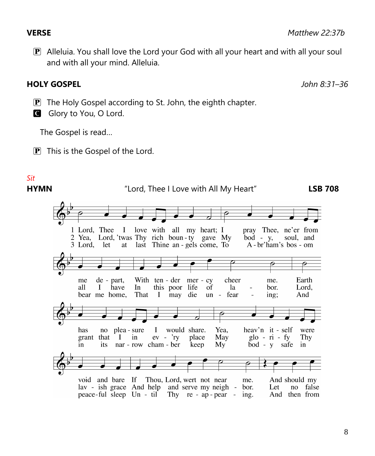P Alleluia. You shall love the Lord your God with all your heart and with all your soul and with all your mind. Alleluia.

# **HOLY GOSPEL** *John 8:31–36*

- $\mathbf{P}$  The Holy Gospel according to St. John, the eighth chapter.
- G Glory to You, O Lord.

The Gospel is read…

 $\boxed{\mathbf{P}}$  This is the Gospel of the Lord.

# *Sit*

### **HYMN** "Lord, Thee I Love with All My Heart" **LSB 708**love with all my heart; I pray Thee, ne'er from 1 Lord, Thee  $\mathbf{I}$ 2 Yea, Lord, 'twas Thy rich boun-ty gave My  $\overline{b}$ od - y, soul, and 3 Lord. let at last Thine an - gels come, To A - br'ham's bos - om With ten - der mer - cy Earth de - part, cheer me. me Lord. all I have In this poor life of la bor. That bear me home.  $\bf{I}$ may die un - fear  $\overline{a}$ ing; And has I would share. Yea, heav'n it - self no plea - sure were grant that  $ev - 'ry$ Thy  $\bf I$  $in$ place May  $g$ lo - ri - fy bod - y safe in its nar - row cham - ber keep My in void and bare If Thou, Lord, wert not near me. And should my lav - ish grace And help and serve my neigh bor. Let no false peace-ful sleep Un - til Thy re - ap - pear - ing. And then from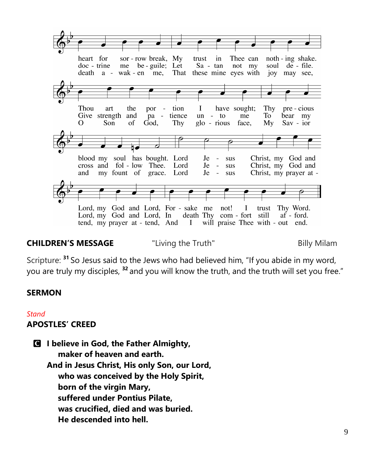

## **CHILDREN'S MESSAGE The "Living the Truth"** The Billy Milam

Scripture: **<sup>31</sup>** So Jesus said to the Jews who had believed him, "If you abide in my word, you are truly my disciples, **<sup>32</sup>** and you will know the truth, and the truth will set you free."

## **SERMON**

### *Stand*

### **APOSTLES' CREED**

C **I believe in God, the Father Almighty, maker of heaven and earth. And in Jesus Christ, His only Son, our Lord, who was conceived by the Holy Spirit, born of the virgin Mary, suffered under Pontius Pilate, was crucified, died and was buried. He descended into hell.**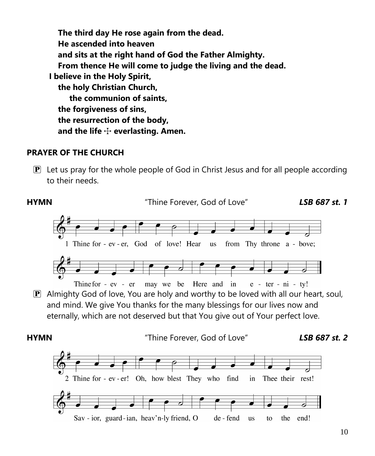**The third day He rose again from the dead. He ascended into heaven and sits at the right hand of God the Father Almighty. From thence He will come to judge the living and the dead. I believe in the Holy Spirit, the holy Christian Church, the communion of saints, the forgiveness of sins, the resurrection of the body, and the life** T **everlasting. Amen.**

## **PRAYER OF THE CHURCH**

 $\mathbb{P}$  Let us pray for the whole people of God in Christ Jesus and for all people according to their needs.

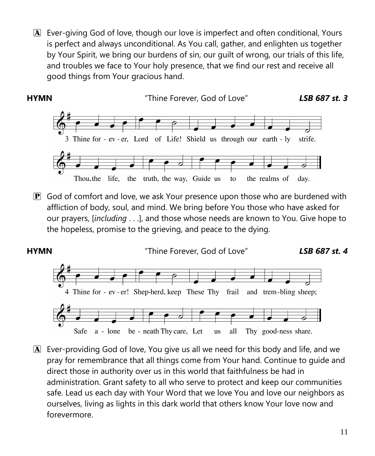A Ever-giving God of love, though our love is imperfect and often conditional, Yours is perfect and always unconditional. As You call, gather, and enlighten us together by Your Spirit, we bring our burdens of sin, our guilt of wrong, our trials of this life, and troubles we face to Your holy presence, that we find our rest and receive all good things from Your gracious hand.



 $\mathbf{P}$  God of comfort and love, we ask Your presence upon those who are burdened with affliction of body, soul, and mind. We bring before You those who have asked for our prayers, [*including* . . .], and those whose needs are known to You. Give hope to the hopeless, promise to the grieving, and peace to the dying.



A Ever-providing God of love, You give us all we need for this body and life, and we pray for remembrance that all things come from Your hand. Continue to guide and direct those in authority over us in this world that faithfulness be had in administration. Grant safety to all who serve to protect and keep our communities safe. Lead us each day with Your Word that we love You and love our neighbors as ourselves, living as lights in this dark world that others know Your love now and forevermore.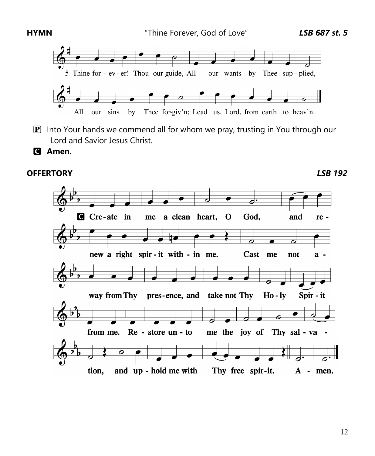

- $\mathbf{P}$  Into Your hands we commend all for whom we pray, trusting in You through our Lord and Savior Jesus Christ.
- C **Amen.**

## **OFFERTORY** *LSB 192*

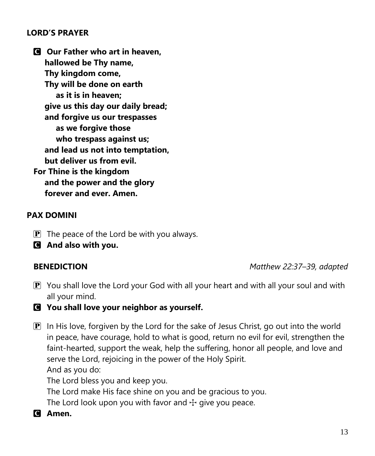## **LORD'S PRAYER**

C **Our Father who art in heaven, hallowed be Thy name, Thy kingdom come, Thy will be done on earth as it is in heaven; give us this day our daily bread; and forgive us our trespasses as we forgive those who trespass against us; and lead us not into temptation, but deliver us from evil. For Thine is the kingdom and the power and the glory forever and ever. Amen.**

## **PAX DOMINI**

- $\mathbf{P}$  The peace of the Lord be with you always.
- C **And also with you.**

**BENEDICTION** *Matthew 22:37–39, adapted*

- $\mathbf{P}$  You shall love the Lord your God with all your heart and with all your soul and with all your mind.
- C **You shall love your neighbor as yourself.**
- $\mathbf{P}$  In His love, forgiven by the Lord for the sake of Jesus Christ, go out into the world in peace, have courage, hold to what is good, return no evil for evil, strengthen the faint-hearted, support the weak, help the suffering, honor all people, and love and serve the Lord, rejoicing in the power of the Holy Spirit. And as you do:

The Lord bless you and keep you.

The Lord make His face shine on you and be gracious to you.

The Lord look upon you with favor and  $\pm$  give you peace.

C **Amen.**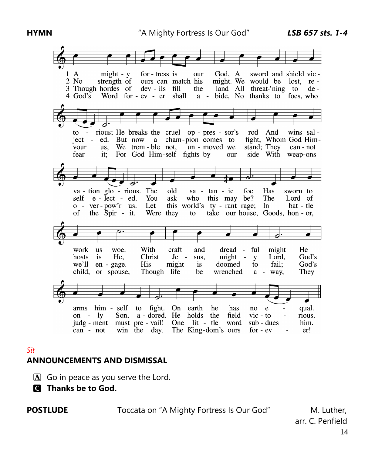

### *Sit*

### **ANNOUNCEMENTS AND DISMISSAL**

- $\mathbf{\overline{A}}$  Go in peace as you serve the Lord.
- C **Thanks be to God.**

**POSTLUDE Toccata on "A Mighty Fortress Is Our God"** M. Luther,

14 arr. C. Penfield